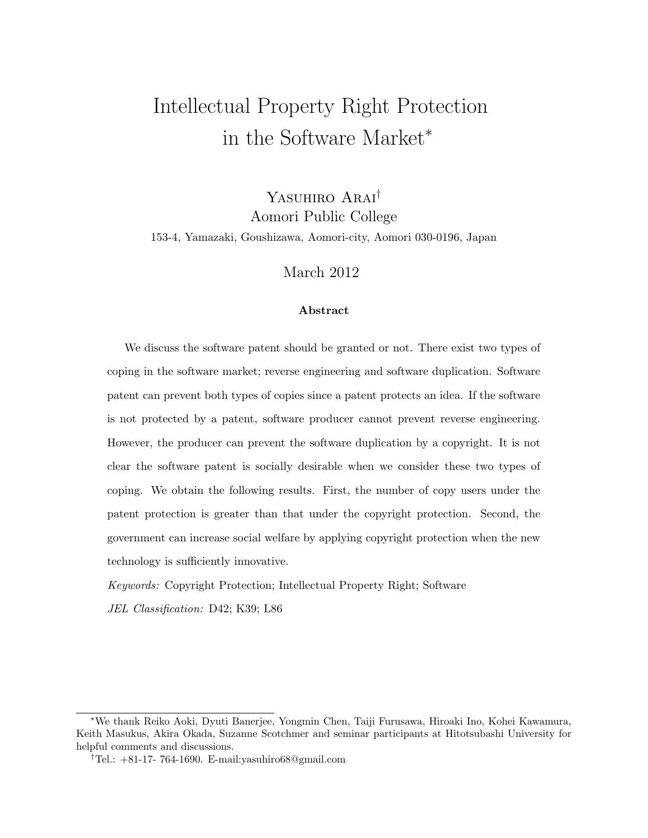# Intellectual Property Right Protection in the Software Market*<sup>∗</sup>*

Yasuhiro Arai*†* Aomori Public College 153-4, Yamazaki, Goushizawa, Aomori-city, Aomori 030-0196, Japan

#### March 2012

#### **Abstract**

We discuss the software patent should be granted or not. There exist two types of coping in the software market; reverse engineering and software duplication. Software patent can prevent both types of copies since a patent protects an idea. If the software is not protected by a patent, software producer cannot prevent reverse engineering. However, the producer can prevent the software duplication by a copyright. It is not clear the software patent is socially desirable when we consider these two types of coping. We obtain the following results. First, the number of copy users under the patent protection is greater than that under the copyright protection. Second, the government can increase social welfare by applying copyright protection when the new technology is sufficiently innovative.

*Keywords:* Copyright Protection; Intellectual Property Right; Software

*JEL Classification:* D42; K39; L86

*<sup>∗</sup>*We thank Reiko Aoki, Dyuti Banerjee, Yongmin Chen, Taiji Furusawa, Hiroaki Ino, Kohei Kawamura, Keith Masukus, Akira Okada, Suzanne Scotchmer and seminar participants at Hitotsubashi University for helpful comments and discussions.

*<sup>†</sup>*Tel.: +81-17- 764-1690. E-mail:yasuhiro68@gmail.com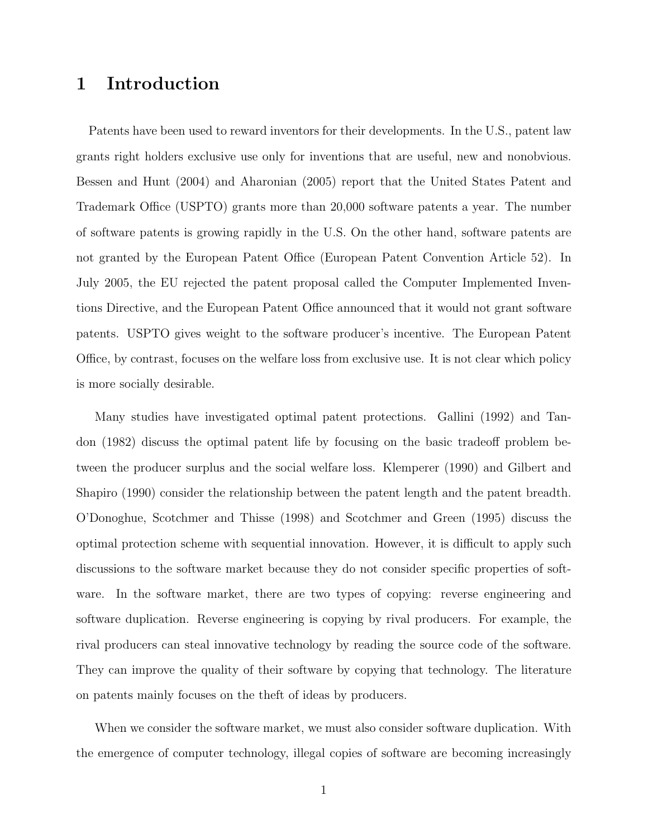## **1 Introduction**

Patents have been used to reward inventors for their developments. In the U.S., patent law grants right holders exclusive use only for inventions that are useful, new and nonobvious. Bessen and Hunt (2004) and Aharonian (2005) report that the United States Patent and Trademark Office (USPTO) grants more than 20,000 software patents a year. The number of software patents is growing rapidly in the U.S. On the other hand, software patents are not granted by the European Patent Office (European Patent Convention Article 52). In July 2005, the EU rejected the patent proposal called the Computer Implemented Inventions Directive, and the European Patent Office announced that it would not grant software patents. USPTO gives weight to the software producer's incentive. The European Patent Office, by contrast, focuses on the welfare loss from exclusive use. It is not clear which policy is more socially desirable.

Many studies have investigated optimal patent protections. Gallini (1992) and Tandon (1982) discuss the optimal patent life by focusing on the basic tradeoff problem between the producer surplus and the social welfare loss. Klemperer (1990) and Gilbert and Shapiro (1990) consider the relationship between the patent length and the patent breadth. O'Donoghue, Scotchmer and Thisse (1998) and Scotchmer and Green (1995) discuss the optimal protection scheme with sequential innovation. However, it is difficult to apply such discussions to the software market because they do not consider specific properties of software. In the software market, there are two types of copying: reverse engineering and software duplication. Reverse engineering is copying by rival producers. For example, the rival producers can steal innovative technology by reading the source code of the software. They can improve the quality of their software by copying that technology. The literature on patents mainly focuses on the theft of ideas by producers.

When we consider the software market, we must also consider software duplication. With the emergence of computer technology, illegal copies of software are becoming increasingly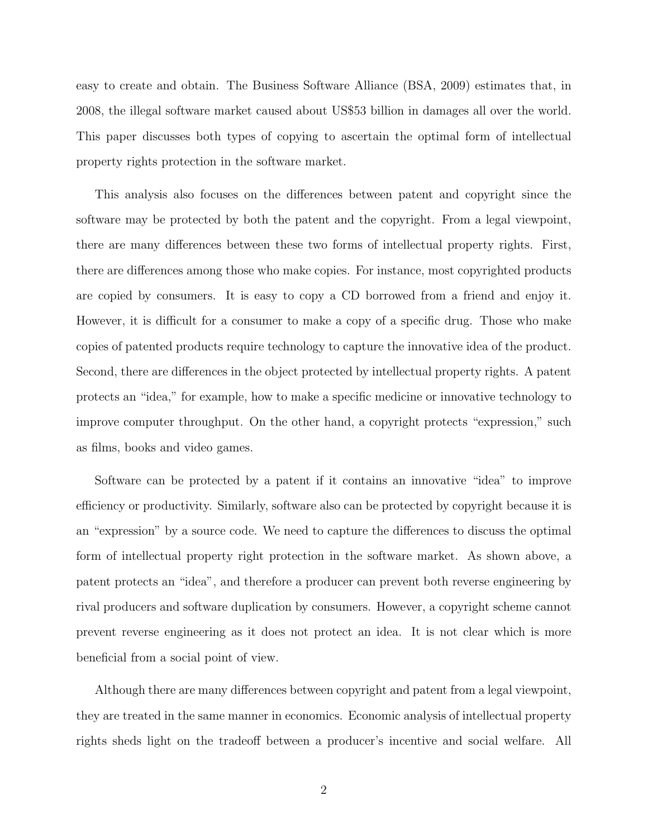easy to create and obtain. The Business Software Alliance (BSA, 2009) estimates that, in 2008, the illegal software market caused about US\$53 billion in damages all over the world. This paper discusses both types of copying to ascertain the optimal form of intellectual property rights protection in the software market.

This analysis also focuses on the differences between patent and copyright since the software may be protected by both the patent and the copyright. From a legal viewpoint, there are many differences between these two forms of intellectual property rights. First, there are differences among those who make copies. For instance, most copyrighted products are copied by consumers. It is easy to copy a CD borrowed from a friend and enjoy it. However, it is difficult for a consumer to make a copy of a specific drug. Those who make copies of patented products require technology to capture the innovative idea of the product. Second, there are differences in the object protected by intellectual property rights. A patent protects an "idea," for example, how to make a specific medicine or innovative technology to improve computer throughput. On the other hand, a copyright protects "expression," such as films, books and video games.

Software can be protected by a patent if it contains an innovative "idea" to improve efficiency or productivity. Similarly, software also can be protected by copyright because it is an "expression" by a source code. We need to capture the differences to discuss the optimal form of intellectual property right protection in the software market. As shown above, a patent protects an "idea", and therefore a producer can prevent both reverse engineering by rival producers and software duplication by consumers. However, a copyright scheme cannot prevent reverse engineering as it does not protect an idea. It is not clear which is more beneficial from a social point of view.

Although there are many differences between copyright and patent from a legal viewpoint, they are treated in the same manner in economics. Economic analysis of intellectual property rights sheds light on the tradeoff between a producer's incentive and social welfare. All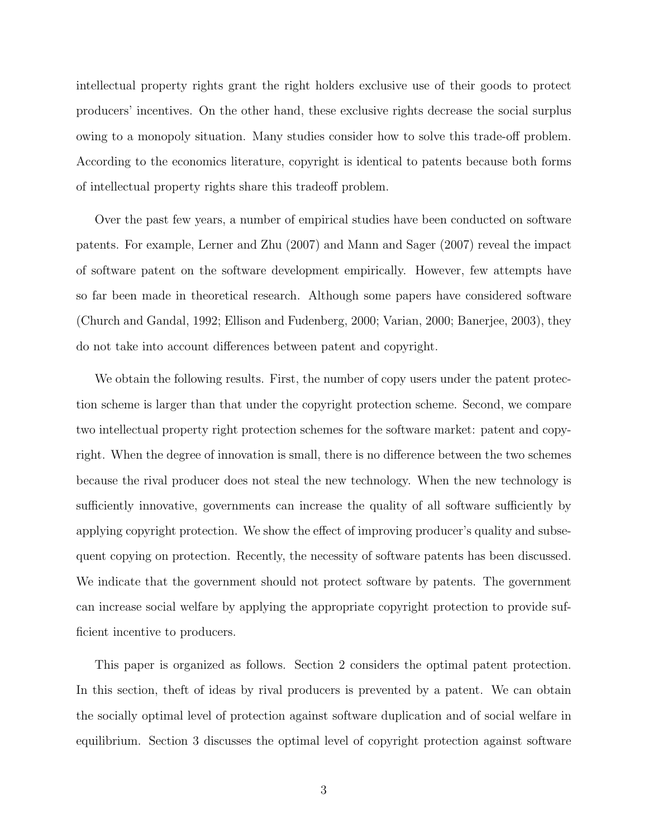intellectual property rights grant the right holders exclusive use of their goods to protect producers' incentives. On the other hand, these exclusive rights decrease the social surplus owing to a monopoly situation. Many studies consider how to solve this trade-off problem. According to the economics literature, copyright is identical to patents because both forms of intellectual property rights share this tradeoff problem.

Over the past few years, a number of empirical studies have been conducted on software patents. For example, Lerner and Zhu (2007) and Mann and Sager (2007) reveal the impact of software patent on the software development empirically. However, few attempts have so far been made in theoretical research. Although some papers have considered software (Church and Gandal, 1992; Ellison and Fudenberg, 2000; Varian, 2000; Banerjee, 2003), they do not take into account differences between patent and copyright.

We obtain the following results. First, the number of copy users under the patent protection scheme is larger than that under the copyright protection scheme. Second, we compare two intellectual property right protection schemes for the software market: patent and copyright. When the degree of innovation is small, there is no difference between the two schemes because the rival producer does not steal the new technology. When the new technology is sufficiently innovative, governments can increase the quality of all software sufficiently by applying copyright protection. We show the effect of improving producer's quality and subsequent copying on protection. Recently, the necessity of software patents has been discussed. We indicate that the government should not protect software by patents. The government can increase social welfare by applying the appropriate copyright protection to provide sufficient incentive to producers.

This paper is organized as follows. Section 2 considers the optimal patent protection. In this section, theft of ideas by rival producers is prevented by a patent. We can obtain the socially optimal level of protection against software duplication and of social welfare in equilibrium. Section 3 discusses the optimal level of copyright protection against software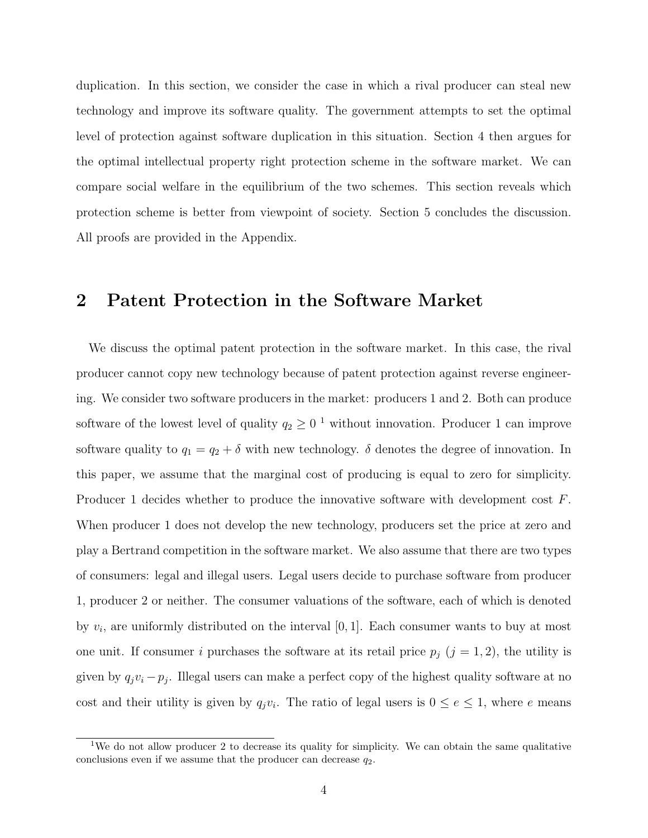duplication. In this section, we consider the case in which a rival producer can steal new technology and improve its software quality. The government attempts to set the optimal level of protection against software duplication in this situation. Section 4 then argues for the optimal intellectual property right protection scheme in the software market. We can compare social welfare in the equilibrium of the two schemes. This section reveals which protection scheme is better from viewpoint of society. Section 5 concludes the discussion. All proofs are provided in the Appendix.

#### **2 Patent Protection in the Software Market**

We discuss the optimal patent protection in the software market. In this case, the rival producer cannot copy new technology because of patent protection against reverse engineering. We consider two software producers in the market: producers 1 and 2. Both can produce software of the lowest level of quality  $q_2 \geq 0^{-1}$  without innovation. Producer 1 can improve software quality to  $q_1 = q_2 + \delta$  with new technology.  $\delta$  denotes the degree of innovation. In this paper, we assume that the marginal cost of producing is equal to zero for simplicity. Producer 1 decides whether to produce the innovative software with development cost *F*. When producer 1 does not develop the new technology, producers set the price at zero and play a Bertrand competition in the software market. We also assume that there are two types of consumers: legal and illegal users. Legal users decide to purchase software from producer 1, producer 2 or neither. The consumer valuations of the software, each of which is denoted by *v<sup>i</sup>* , are uniformly distributed on the interval [0*,* 1]. Each consumer wants to buy at most one unit. If consumer *i* purchases the software at its retail price  $p_j$  ( $j = 1, 2$ ), the utility is given by  $q_jv_i - p_j$ . Illegal users can make a perfect copy of the highest quality software at no cost and their utility is given by  $q_j v_i$ . The ratio of legal users is  $0 \le e \le 1$ , where *e* means

<sup>&</sup>lt;sup>1</sup>We do not allow producer 2 to decrease its quality for simplicity. We can obtain the same qualitative conclusions even if we assume that the producer can decrease  $q_2$ .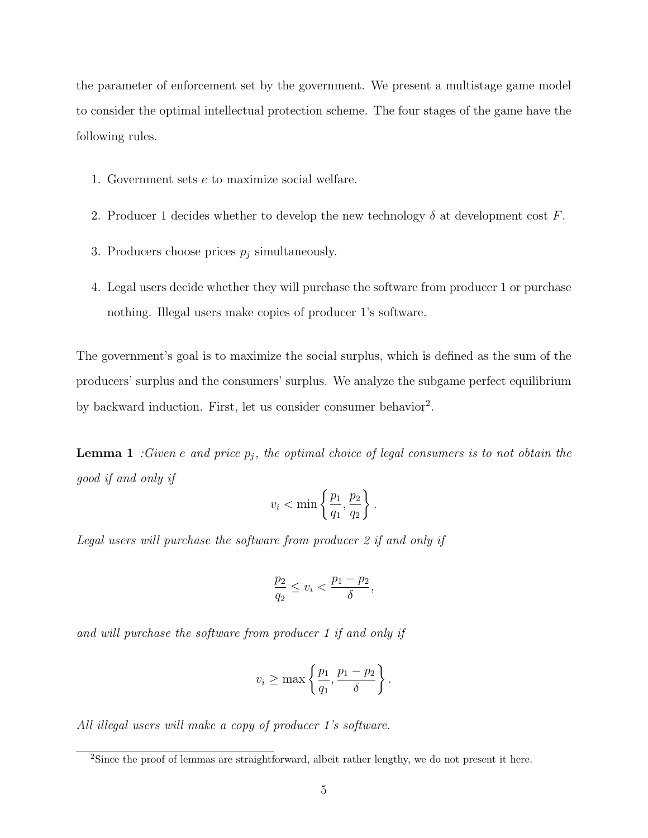the parameter of enforcement set by the government. We present a multistage game model to consider the optimal intellectual protection scheme. The four stages of the game have the following rules.

- 1. Government sets *e* to maximize social welfare.
- 2. Producer 1 decides whether to develop the new technology  $\delta$  at development cost  $F$ .
- 3. Producers choose prices  $p_j$  simultaneously.
- 4. Legal users decide whether they will purchase the software from producer 1 or purchase nothing. Illegal users make copies of producer 1's software.

The government's goal is to maximize the social surplus, which is defined as the sum of the producers' surplus and the consumers' surplus. We analyze the subgame perfect equilibrium by backward induction. First, let us consider consumer behavior<sup>2</sup>.

**Lemma 1** *:Given e and* price  $p_j$ , the optimal choice of legal consumers is to not obtain the *good if and only if*

$$
v_i < \min\left\{\frac{p_1}{q_1}, \frac{p_2}{q_2}\right\}.
$$

*Legal users will purchase the software from producer 2 if and only if*

$$
\frac{p_2}{q_2} \le v_i < \frac{p_1 - p_2}{\delta},
$$

*and will purchase the software from producer 1 if and only if*

$$
v_i \ge \max\left\{\frac{p_1}{q_1}, \frac{p_1 - p_2}{\delta}\right\}.
$$

*All illegal users will make a copy of producer 1's software.*

<sup>&</sup>lt;sup>2</sup>Since the proof of lemmas are straightforward, albeit rather lengthy, we do not present it here.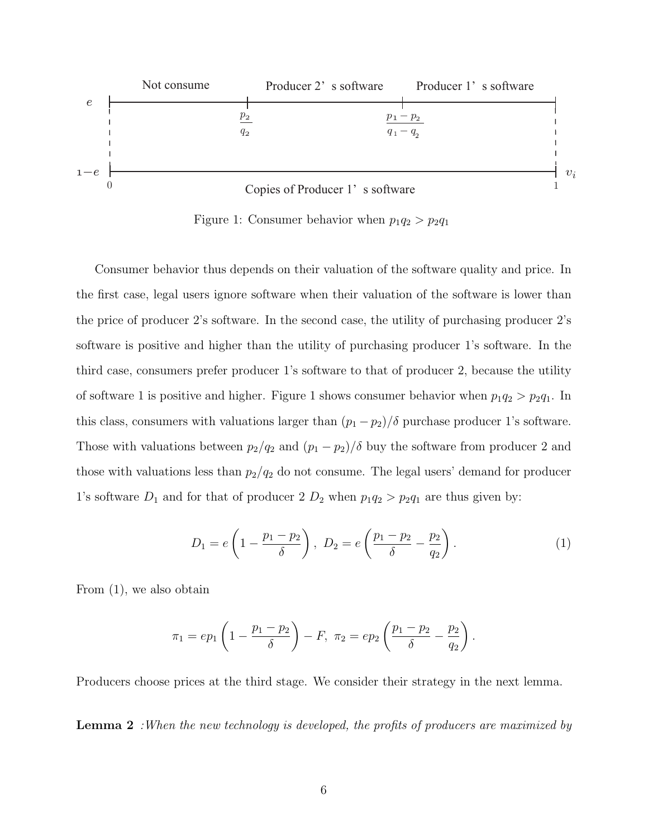

Figure 1: Consumer behavior when  $p_1q_2 > p_2q_1$ 

Consumer behavior thus depends on their valuation of the software quality and price. In the first case, legal users ignore software when their valuation of the software is lower than the price of producer 2's software. In the second case, the utility of purchasing producer 2's software is positive and higher than the utility of purchasing producer 1's software. In the third case, consumers prefer producer 1's software to that of producer 2, because the utility of software 1 is positive and higher. Figure 1 shows consumer behavior when  $p_1q_2 > p_2q_1$ . In this class, consumers with valuations larger than  $(p_1 - p_2)/\delta$  purchase producer 1's software. Those with valuations between  $p_2/q_2$  and  $(p_1 - p_2)/\delta$  buy the software from producer 2 and those with valuations less than  $p_2/q_2$  do not consume. The legal users' demand for producer 1's software  $D_1$  and for that of producer 2  $D_2$  when  $p_1q_2 > p_2q_1$  are thus given by:

$$
D_1 = e\left(1 - \frac{p_1 - p_2}{\delta}\right), \ D_2 = e\left(\frac{p_1 - p_2}{\delta} - \frac{p_2}{q_2}\right). \tag{1}
$$

From (1), we also obtain

$$
\pi_1 = ep_1 \left( 1 - \frac{p_1 - p_2}{\delta} \right) - F, \ \pi_2 = ep_2 \left( \frac{p_1 - p_2}{\delta} - \frac{p_2}{q_2} \right).
$$

Producers choose prices at the third stage. We consider their strategy in the next lemma.

**Lemma 2** *:When the new technology is developed, the profits of producers are maximized by*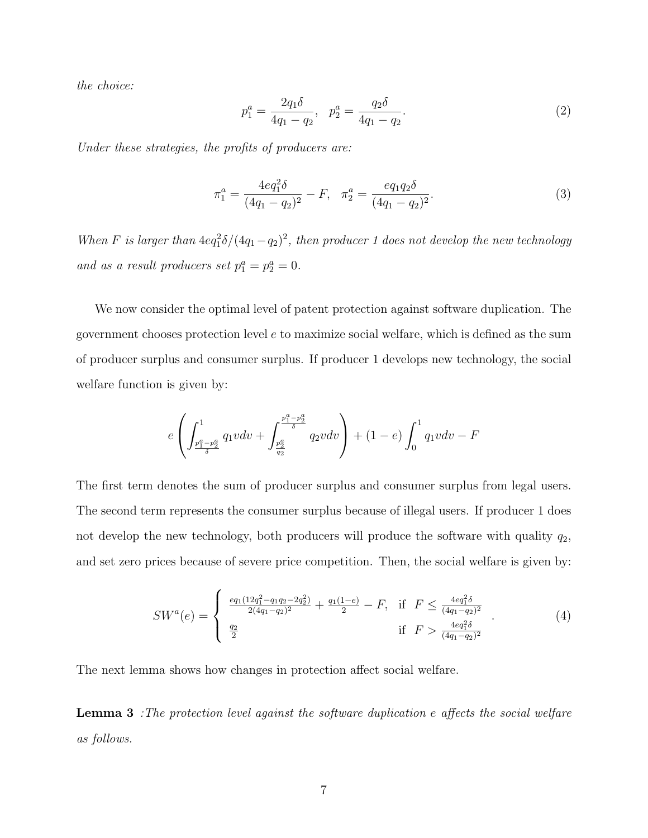*the choice:*

$$
p_1^a = \frac{2q_1\delta}{4q_1 - q_2}, \quad p_2^a = \frac{q_2\delta}{4q_1 - q_2}.\tag{2}
$$

*Under these strategies, the profits of producers are:*

$$
\pi_1^a = \frac{4eq_1^2 \delta}{(4q_1 - q_2)^2} - F, \quad \pi_2^a = \frac{eq_1q_2 \delta}{(4q_1 - q_2)^2}.
$$
\n(3)

*When F is larger than*  $4eq_1^2\delta/(4q_1-q_2)^2$ , then producer 1 does not develop the new technology *and as a result producers set*  $p_1^a = p_2^a = 0$ .

We now consider the optimal level of patent protection against software duplication. The government chooses protection level *e* to maximize social welfare, which is defined as the sum of producer surplus and consumer surplus. If producer 1 develops new technology, the social welfare function is given by:

$$
e\left(\int_{\frac{p_1^a-p_2^a}{\delta}}^{1} q_1 v dv + \int_{\frac{p_2^a}{q_2}}^{\frac{p_1^a-p_2^a}{\delta}} q_2 v dv\right) + (1-e) \int_0^1 q_1 v dv - F
$$

The first term denotes the sum of producer surplus and consumer surplus from legal users. The second term represents the consumer surplus because of illegal users. If producer 1 does not develop the new technology, both producers will produce the software with quality *q*2, and set zero prices because of severe price competition. Then, the social welfare is given by:

$$
SW^{a}(e) = \begin{cases} \frac{eq_{1}(12q_{1}^{2} - q_{1}q_{2} - 2q_{2}^{2})}{2(4q_{1} - q_{2})^{2}} + \frac{q_{1}(1-e)}{2} - F, & \text{if } F \leq \frac{4eq_{1}^{2}\delta}{(4q_{1} - q_{2})^{2}}\\ \frac{q_{2}}{2} & \text{if } F > \frac{4eq_{1}^{2}\delta}{(4q_{1} - q_{2})^{2}} \end{cases}
$$
(4)

The next lemma shows how changes in protection affect social welfare.

**Lemma 3** *:The protection level against the software duplication e affects the social welfare as follows.*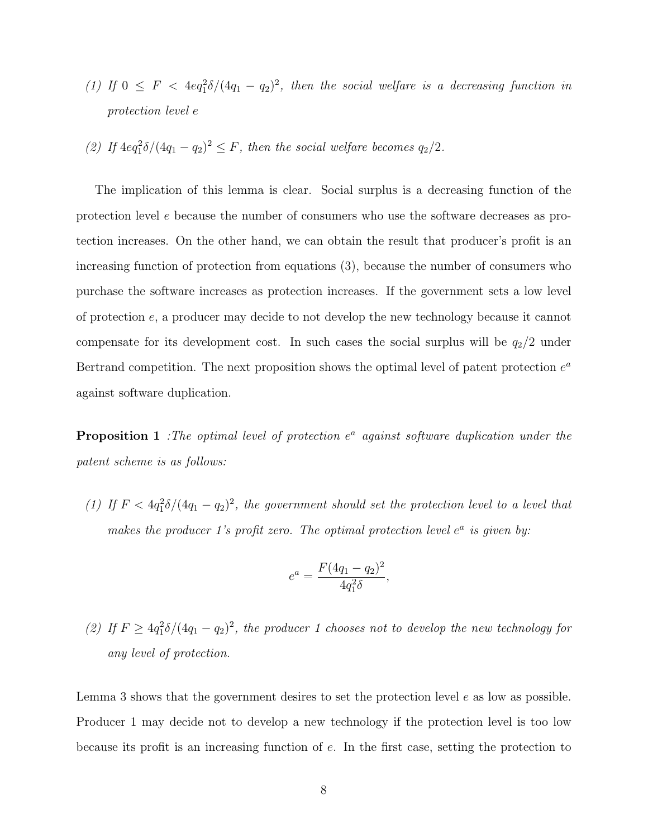- (1) If  $0 \leq F < 4eq_1^2 \delta/(4q_1 q_2)^2$ , then the social welfare is a decreasing function in *protection level e*
- (2) *If*  $4eq_1^2 \delta / (4q_1 q_2)^2 \leq F$ , then the social welfare becomes  $q_2/2$ .

The implication of this lemma is clear. Social surplus is a decreasing function of the protection level *e* because the number of consumers who use the software decreases as protection increases. On the other hand, we can obtain the result that producer's profit is an increasing function of protection from equations (3), because the number of consumers who purchase the software increases as protection increases. If the government sets a low level of protection *e*, a producer may decide to not develop the new technology because it cannot compensate for its development cost. In such cases the social surplus will be  $q_2/2$  under Bertrand competition. The next proposition shows the optimal level of patent protection *e a* against software duplication.

**Proposition 1** *:The optimal level of protection*  $e^a$  *against software duplication under the patent scheme is as follows:*

(1) If  $F < 4q_1^2 \delta/(4q_1 - q_2)^2$ , the government should set the protection level to a level that *makes the producer 1's profit zero. The optimal protection level*  $e^a$  *is given by:* 

$$
e^a = \frac{F(4q_1 - q_2)^2}{4q_1^2 \delta},
$$

(2) If  $F \geq 4q_1^2 \delta/(4q_1 - q_2)^2$ , the producer 1 chooses not to develop the new technology for *any level of protection.*

Lemma 3 shows that the government desires to set the protection level *e* as low as possible. Producer 1 may decide not to develop a new technology if the protection level is too low because its profit is an increasing function of *e*. In the first case, setting the protection to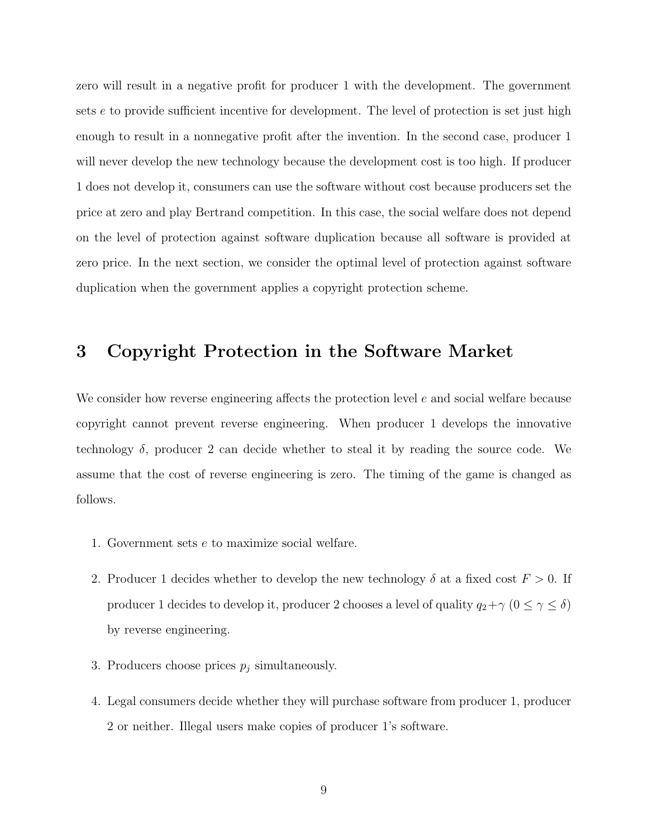zero will result in a negative profit for producer 1 with the development. The government sets *e* to provide sufficient incentive for development. The level of protection is set just high enough to result in a nonnegative profit after the invention. In the second case, producer 1 will never develop the new technology because the development cost is too high. If producer 1 does not develop it, consumers can use the software without cost because producers set the price at zero and play Bertrand competition. In this case, the social welfare does not depend on the level of protection against software duplication because all software is provided at zero price. In the next section, we consider the optimal level of protection against software duplication when the government applies a copyright protection scheme.

### **3 Copyright Protection in the Software Market**

We consider how reverse engineering affects the protection level *e* and social welfare because copyright cannot prevent reverse engineering. When producer 1 develops the innovative technology  $\delta$ , producer 2 can decide whether to steal it by reading the source code. We assume that the cost of reverse engineering is zero. The timing of the game is changed as follows.

- 1. Government sets *e* to maximize social welfare.
- 2. Producer 1 decides whether to develop the new technology  $\delta$  at a fixed cost  $F > 0$ . If producer 1 decides to develop it, producer 2 chooses a level of quality  $q_2 + \gamma$  ( $0 \le \gamma \le \delta$ ) by reverse engineering.
- 3. Producers choose prices  $p_j$  simultaneously.
- 4. Legal consumers decide whether they will purchase software from producer 1, producer 2 or neither. Illegal users make copies of producer 1's software.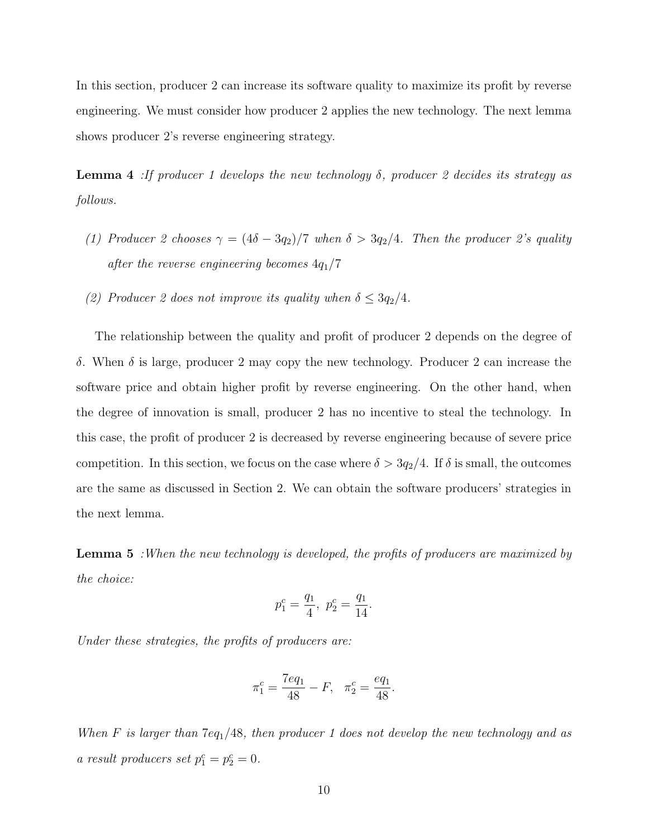In this section, producer 2 can increase its software quality to maximize its profit by reverse engineering. We must consider how producer 2 applies the new technology. The next lemma shows producer 2's reverse engineering strategy.

**Lemma 4** *:If producer 1 develops the new technology δ, producer 2 decides its strategy as follows.*

- *(1) Producer 2 chooses*  $\gamma = (4\delta 3q_2)/7$  *when*  $\delta > 3q_2/4$ *. Then the producer 2's quality after the reverse engineering becomes* 4*q*1*/*7
- *(2) Producer 2 does not improve its quality when*  $\delta \leq 3q_2/4$ *.*

The relationship between the quality and profit of producer 2 depends on the degree of *δ*. When *δ* is large, producer 2 may copy the new technology. Producer 2 can increase the software price and obtain higher profit by reverse engineering. On the other hand, when the degree of innovation is small, producer 2 has no incentive to steal the technology. In this case, the profit of producer 2 is decreased by reverse engineering because of severe price competition. In this section, we focus on the case where  $\delta > 3q_2/4$ . If  $\delta$  is small, the outcomes are the same as discussed in Section 2. We can obtain the software producers' strategies in the next lemma.

**Lemma 5** *:When the new technology is developed, the profits of producers are maximized by the choice:*

$$
p_1^c = \frac{q_1}{4}, \ p_2^c = \frac{q_1}{14}.
$$

*Under these strategies, the profits of producers are:*

$$
\pi_1^c = \frac{7eq_1}{48} - F, \quad \pi_2^c = \frac{eq_1}{48}.
$$

*When F is larger than* 7*eq*1*/*48*, then producer 1 does not develop the new technology and as a* result producers set  $p_1^c = p_2^c = 0$ .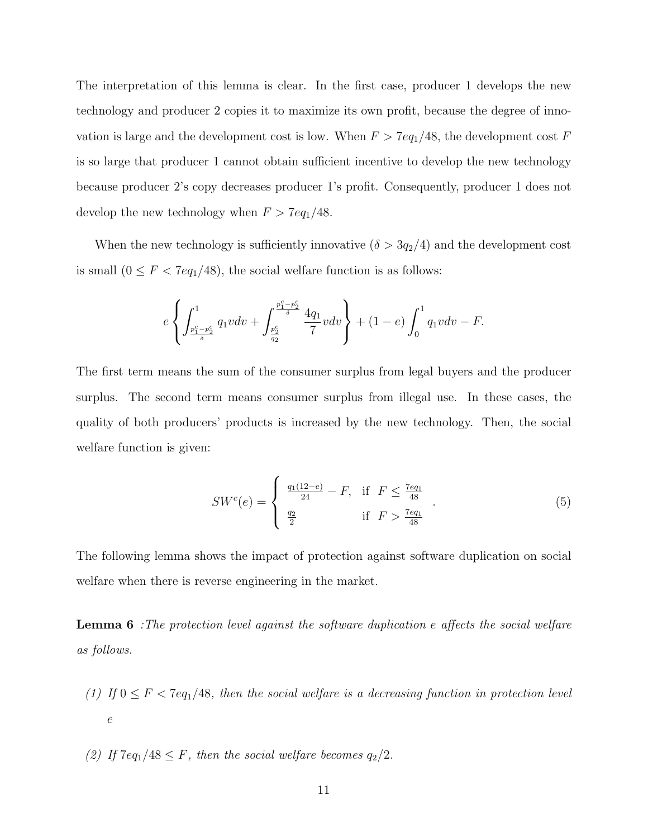The interpretation of this lemma is clear. In the first case, producer 1 develops the new technology and producer 2 copies it to maximize its own profit, because the degree of innovation is large and the development cost is low. When  $F > 7eq_1/48$ , the development cost  $F$ is so large that producer 1 cannot obtain sufficient incentive to develop the new technology because producer 2's copy decreases producer 1's profit. Consequently, producer 1 does not develop the new technology when  $F > 7eq_1/48$ .

When the new technology is sufficiently innovative  $(\delta > 3q_2/4)$  and the development cost is small  $(0 \le F < 7eq_1/48)$ , the social welfare function is as follows:

$$
e\left\{\int_{\frac{p_1^c - p_2^c}{\delta}}^{1} q_1 v dv + \int_{\frac{p_2^c}{q_2}}^{\frac{p_1^c - p_2^c}{\delta}} \frac{4q_1}{7} v dv\right\} + (1 - e) \int_0^1 q_1 v dv - F.
$$

The first term means the sum of the consumer surplus from legal buyers and the producer surplus. The second term means consumer surplus from illegal use. In these cases, the quality of both producers' products is increased by the new technology. Then, the social welfare function is given:

$$
SW^{c}(e) = \begin{cases} \frac{q_1(12-e)}{24} - F, & \text{if } F \le \frac{7eq_1}{48} \\ \frac{q_2}{2} & \text{if } F > \frac{7eq_1}{48} \end{cases} \tag{5}
$$

The following lemma shows the impact of protection against software duplication on social welfare when there is reverse engineering in the market.

**Lemma 6** *:The protection level against the software duplication e affects the social welfare as follows.*

- *(1) If*  $0 \leq F < 7eq_1/48$ *, then the social welfare is a decreasing function in protection level e*
- *(2) If*  $7eq_1/48 \leq F$ *, then the social welfare becomes*  $q_2/2$ *.*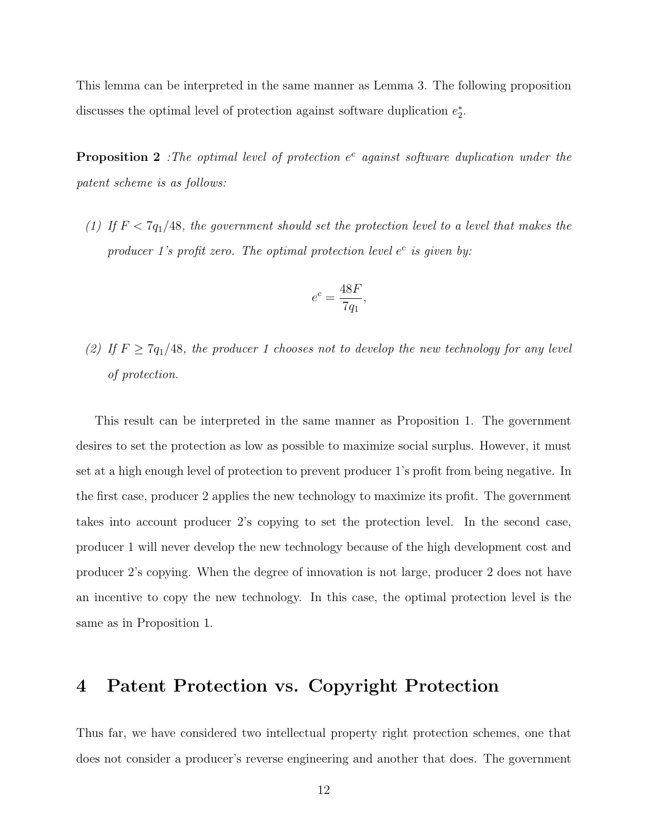This lemma can be interpreted in the same manner as Lemma 3. The following proposition discusses the optimal level of protection against software duplication  $e_2^*$ .

**Proposition 2** *:The optimal level of protection*  $e^c$  *against software duplication under the patent scheme is as follows:*

*(1)* If  $F < 7q_1/48$ , the government should set the protection level to a level that makes the *producer 1's profit zero. The optimal protection level e c is given by:*

$$
e^c = \frac{48F}{7q_1},
$$

*(2)* If  $F \geq 7q_1/48$ , the producer 1 chooses not to develop the new technology for any level *of protection.*

This result can be interpreted in the same manner as Proposition 1. The government desires to set the protection as low as possible to maximize social surplus. However, it must set at a high enough level of protection to prevent producer 1's profit from being negative. In the first case, producer 2 applies the new technology to maximize its profit. The government takes into account producer 2's copying to set the protection level. In the second case, producer 1 will never develop the new technology because of the high development cost and producer 2's copying. When the degree of innovation is not large, producer 2 does not have an incentive to copy the new technology. In this case, the optimal protection level is the same as in Proposition 1.

## **4 Patent Protection vs. Copyright Protection**

Thus far, we have considered two intellectual property right protection schemes, one that does not consider a producer's reverse engineering and another that does. The government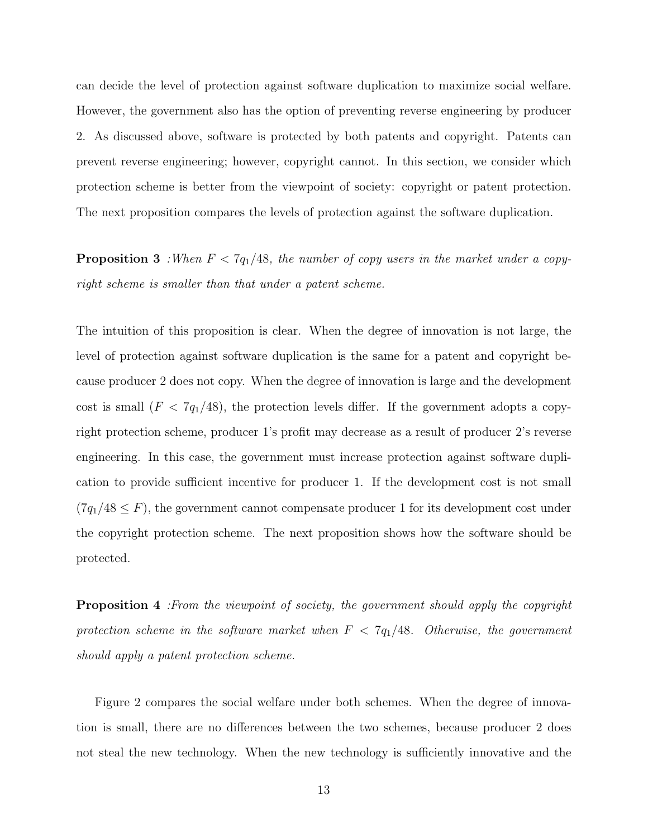can decide the level of protection against software duplication to maximize social welfare. However, the government also has the option of preventing reverse engineering by producer 2. As discussed above, software is protected by both patents and copyright. Patents can prevent reverse engineering; however, copyright cannot. In this section, we consider which protection scheme is better from the viewpoint of society: copyright or patent protection. The next proposition compares the levels of protection against the software duplication.

**Proposition 3** *:When*  $F < 7q_1/48$ *, the number of copy users in the market under a copyright scheme is smaller than that under a patent scheme.*

The intuition of this proposition is clear. When the degree of innovation is not large, the level of protection against software duplication is the same for a patent and copyright because producer 2 does not copy. When the degree of innovation is large and the development cost is small  $(F < 7q_1/48)$ , the protection levels differ. If the government adopts a copyright protection scheme, producer 1's profit may decrease as a result of producer 2's reverse engineering. In this case, the government must increase protection against software duplication to provide sufficient incentive for producer 1. If the development cost is not small  $(7q_1/48 \leq F)$ , the government cannot compensate producer 1 for its development cost under the copyright protection scheme. The next proposition shows how the software should be protected.

**Proposition 4** *:From the viewpoint of society, the government should apply the copyright protection scheme in the software market when F <* 7*q*1*/*48*. Otherwise, the government should apply a patent protection scheme.*

Figure 2 compares the social welfare under both schemes. When the degree of innovation is small, there are no differences between the two schemes, because producer 2 does not steal the new technology. When the new technology is sufficiently innovative and the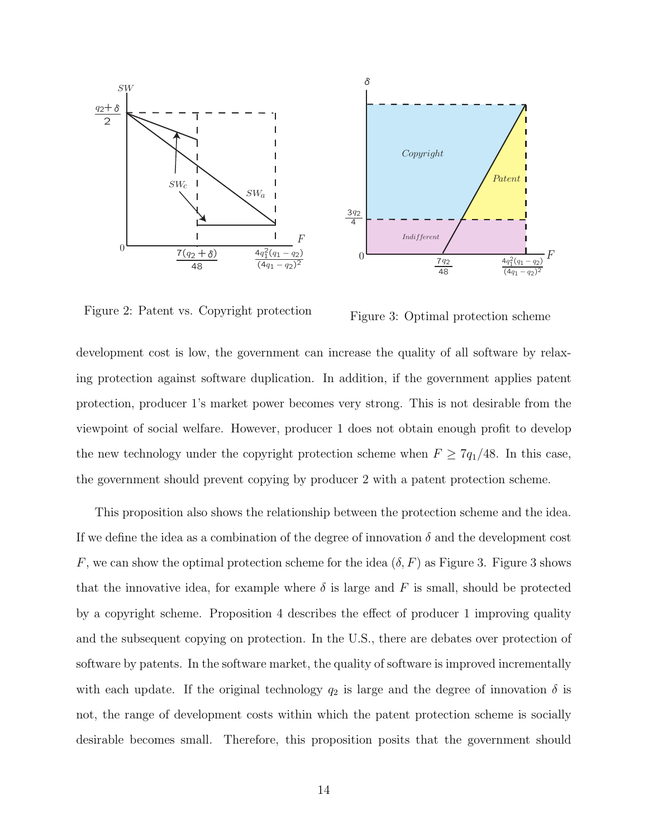



Figure 2: Patent vs. Copyright protection

Figure 3: Optimal protection scheme

development cost is low, the government can increase the quality of all software by relaxing protection against software duplication. In addition, if the government applies patent protection, producer 1's market power becomes very strong. This is not desirable from the viewpoint of social welfare. However, producer 1 does not obtain enough profit to develop the new technology under the copyright protection scheme when  $F \geq 7q_1/48$ . In this case, the government should prevent copying by producer 2 with a patent protection scheme.

This proposition also shows the relationship between the protection scheme and the idea. If we define the idea as a combination of the degree of innovation  $\delta$  and the development cost *F*, we can show the optimal protection scheme for the idea  $(\delta, F)$  as Figure 3. Figure 3 shows that the innovative idea, for example where  $\delta$  is large and  $F$  is small, should be protected by a copyright scheme. Proposition 4 describes the effect of producer 1 improving quality and the subsequent copying on protection. In the U.S., there are debates over protection of software by patents. In the software market, the quality of software is improved incrementally with each update. If the original technology  $q_2$  is large and the degree of innovation  $\delta$  is not, the range of development costs within which the patent protection scheme is socially desirable becomes small. Therefore, this proposition posits that the government should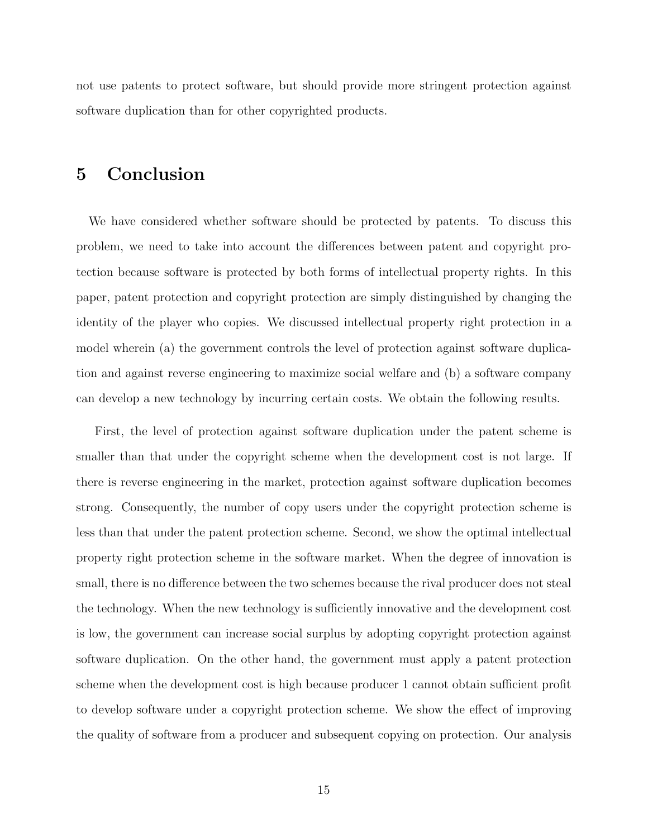not use patents to protect software, but should provide more stringent protection against software duplication than for other copyrighted products.

## **5 Conclusion**

We have considered whether software should be protected by patents. To discuss this problem, we need to take into account the differences between patent and copyright protection because software is protected by both forms of intellectual property rights. In this paper, patent protection and copyright protection are simply distinguished by changing the identity of the player who copies. We discussed intellectual property right protection in a model wherein (a) the government controls the level of protection against software duplication and against reverse engineering to maximize social welfare and (b) a software company can develop a new technology by incurring certain costs. We obtain the following results.

First, the level of protection against software duplication under the patent scheme is smaller than that under the copyright scheme when the development cost is not large. If there is reverse engineering in the market, protection against software duplication becomes strong. Consequently, the number of copy users under the copyright protection scheme is less than that under the patent protection scheme. Second, we show the optimal intellectual property right protection scheme in the software market. When the degree of innovation is small, there is no difference between the two schemes because the rival producer does not steal the technology. When the new technology is sufficiently innovative and the development cost is low, the government can increase social surplus by adopting copyright protection against software duplication. On the other hand, the government must apply a patent protection scheme when the development cost is high because producer 1 cannot obtain sufficient profit to develop software under a copyright protection scheme. We show the effect of improving the quality of software from a producer and subsequent copying on protection. Our analysis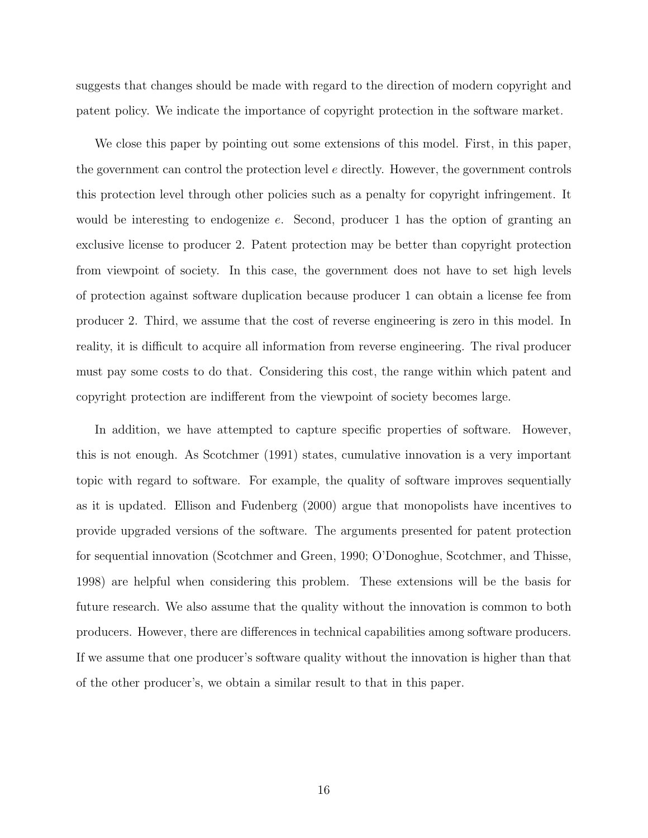suggests that changes should be made with regard to the direction of modern copyright and patent policy. We indicate the importance of copyright protection in the software market.

We close this paper by pointing out some extensions of this model. First, in this paper, the government can control the protection level *e* directly. However, the government controls this protection level through other policies such as a penalty for copyright infringement. It would be interesting to endogenize *e*. Second, producer 1 has the option of granting an exclusive license to producer 2. Patent protection may be better than copyright protection from viewpoint of society. In this case, the government does not have to set high levels of protection against software duplication because producer 1 can obtain a license fee from producer 2. Third, we assume that the cost of reverse engineering is zero in this model. In reality, it is difficult to acquire all information from reverse engineering. The rival producer must pay some costs to do that. Considering this cost, the range within which patent and copyright protection are indifferent from the viewpoint of society becomes large.

In addition, we have attempted to capture specific properties of software. However, this is not enough. As Scotchmer (1991) states, cumulative innovation is a very important topic with regard to software. For example, the quality of software improves sequentially as it is updated. Ellison and Fudenberg (2000) argue that monopolists have incentives to provide upgraded versions of the software. The arguments presented for patent protection for sequential innovation (Scotchmer and Green, 1990; O'Donoghue, Scotchmer, and Thisse, 1998) are helpful when considering this problem. These extensions will be the basis for future research. We also assume that the quality without the innovation is common to both producers. However, there are differences in technical capabilities among software producers. If we assume that one producer's software quality without the innovation is higher than that of the other producer's, we obtain a similar result to that in this paper.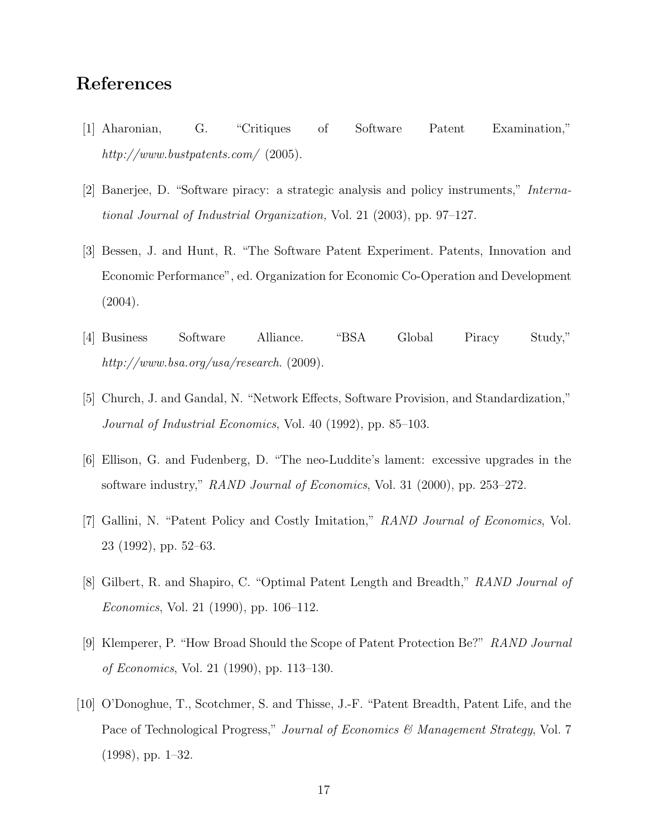#### **References**

- [1] Aharonian, G. "Critiques of Software Patent Examination," *http://www.bustpatents.com/* (2005).
- [2] Banerjee, D. "Software piracy: a strategic analysis and policy instruments," *International Journal of Industrial Organization,* Vol. 21 (2003), pp. 97–127.
- [3] Bessen, J. and Hunt, R. "The Software Patent Experiment. Patents, Innovation and Economic Performance", ed. Organization for Economic Co-Operation and Development  $(2004).$
- [4] Business Software Alliance. "BSA Global Piracy Study," *http://www.bsa.org/usa/research*. (2009).
- [5] Church, J. and Gandal, N. "Network Effects, Software Provision, and Standardization," *Journal of Industrial Economics*, Vol. 40 (1992), pp. 85–103.
- [6] Ellison, G. and Fudenberg, D. "The neo-Luddite's lament: excessive upgrades in the software industry," *RAND Journal of Economics*, Vol. 31 (2000), pp. 253–272.
- [7] Gallini, N. "Patent Policy and Costly Imitation," *RAND Journal of Economics*, Vol. 23 (1992), pp. 52–63.
- [8] Gilbert, R. and Shapiro, C. "Optimal Patent Length and Breadth," *RAND Journal of Economics*, Vol. 21 (1990), pp. 106–112.
- [9] Klemperer, P. "How Broad Should the Scope of Patent Protection Be?" *RAND Journal of Economics*, Vol. 21 (1990), pp. 113–130.
- [10] O'Donoghue, T., Scotchmer, S. and Thisse, J.-F. "Patent Breadth, Patent Life, and the Pace of Technological Progress," *Journal of Economics & Management Strategy*, Vol. 7 (1998), pp. 1–32.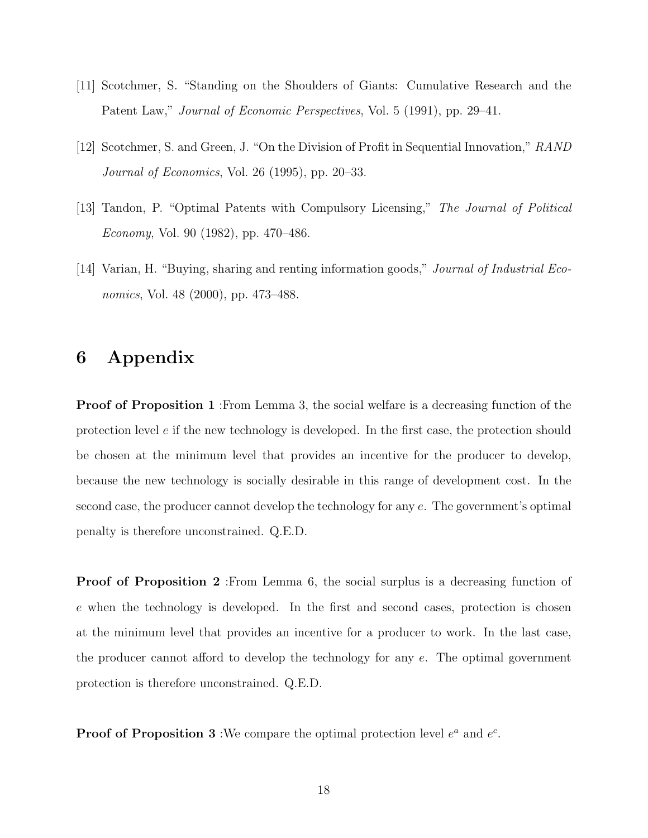- [11] Scotchmer, S. "Standing on the Shoulders of Giants: Cumulative Research and the Patent Law," *Journal of Economic Perspectives*, Vol. 5 (1991), pp. 29–41.
- [12] Scotchmer, S. and Green, J. "On the Division of Profit in Sequential Innovation," *RAND Journal of Economics*, Vol. 26 (1995), pp. 20–33.
- [13] Tandon, P. "Optimal Patents with Compulsory Licensing," *The Journal of Political Economy*, Vol. 90 (1982), pp. 470–486.
- [14] Varian, H. "Buying, sharing and renting information goods," *Journal of Industrial Economics*, Vol. 48 (2000), pp. 473–488.

#### **6 Appendix**

**Proof of Proposition 1** :From Lemma 3, the social welfare is a decreasing function of the protection level *e* if the new technology is developed. In the first case, the protection should be chosen at the minimum level that provides an incentive for the producer to develop, because the new technology is socially desirable in this range of development cost. In the second case, the producer cannot develop the technology for any *e*. The government's optimal penalty is therefore unconstrained. Q.E.D.

**Proof of Proposition 2** :From Lemma 6, the social surplus is a decreasing function of *e* when the technology is developed. In the first and second cases, protection is chosen at the minimum level that provides an incentive for a producer to work. In the last case, the producer cannot afford to develop the technology for any *e*. The optimal government protection is therefore unconstrained. Q.E.D.

**Proof of Proposition 3**: We compare the optimal protection level  $e^a$  and  $e^c$ .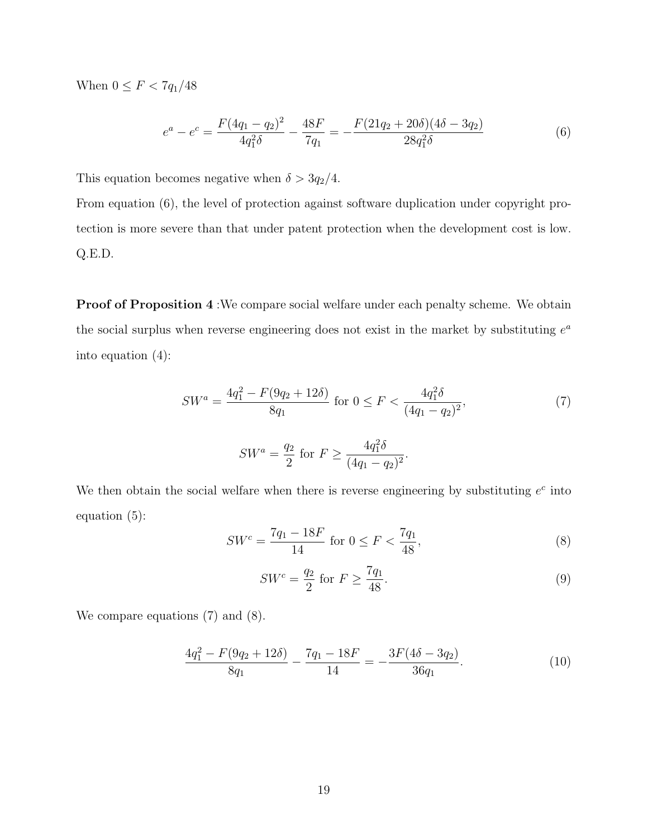When  $0 \leq F < 7q_1/48$ 

$$
e^{a} - e^{c} = \frac{F(4q_1 - q_2)^2}{4q_1^2 \delta} - \frac{48F}{7q_1} = -\frac{F(21q_2 + 20\delta)(4\delta - 3q_2)}{28q_1^2 \delta}
$$
(6)

This equation becomes negative when  $\delta > 3q_2/4$ .

From equation (6), the level of protection against software duplication under copyright protection is more severe than that under patent protection when the development cost is low. Q.E.D.

**Proof of Proposition 4** : We compare social welfare under each penalty scheme. We obtain the social surplus when reverse engineering does not exist in the market by substituting  $e^a$ into equation (4):

$$
SW^{a} = \frac{4q_{1}^{2} - F(9q_{2} + 12\delta)}{8q_{1}} \text{ for } 0 \le F < \frac{4q_{1}^{2}\delta}{(4q_{1} - q_{2})^{2}},\tag{7}
$$

$$
SW^{a} = \frac{q_2}{2} \text{ for } F \ge \frac{4q_1^2 \delta}{(4q_1 - q_2)^2}.
$$

We then obtain the social welfare when there is reverse engineering by substituting  $e^c$  into equation (5):

$$
SW^{c} = \frac{7q_1 - 18F}{14} \text{ for } 0 \le F < \frac{7q_1}{48},\tag{8}
$$

$$
SW^c = \frac{q_2}{2} \text{ for } F \ge \frac{7q_1}{48}.\tag{9}
$$

We compare equations  $(7)$  and  $(8)$ .

$$
\frac{4q_1^2 - F(9q_2 + 12\delta)}{8q_1} - \frac{7q_1 - 18F}{14} = -\frac{3F(4\delta - 3q_2)}{36q_1}.
$$
 (10)